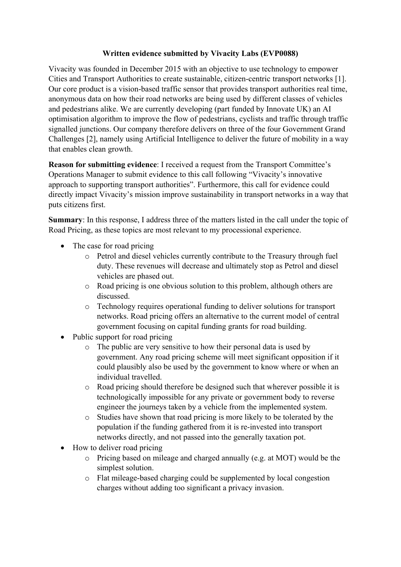#### **Written evidence submitted by Vivacity Labs (EVP0088)**

Vivacity was founded in December 2015 with an objective to use technology to empower Cities and Transport Authorities to create sustainable, citizen-centric transport networks [1]. Our core product is a vision-based traffic sensor that provides transport authorities real time, anonymous data on how their road networks are being used by different classes of vehicles and pedestrians alike. We are currently developing (part funded by Innovate UK) an AI optimisation algorithm to improve the flow of pedestrians, cyclists and traffic through traffic signalled junctions. Our company therefore delivers on three of the four Government Grand Challenges [2], namely using Artificial Intelligence to deliver the future of mobility in a way that enables clean growth.

**Reason for submitting evidence**: I received a request from the Transport Committee's Operations Manager to submit evidence to this call following "Vivacity's innovative approach to supporting transport authorities". Furthermore, this call for evidence could directly impact Vivacity's mission improve sustainability in transport networks in a way that puts citizens first.

**Summary**: In this response, I address three of the matters listed in the call under the topic of Road Pricing, as these topics are most relevant to my processional experience.

- The case for road pricing
	- o Petrol and diesel vehicles currently contribute to the Treasury through fuel duty. These revenues will decrease and ultimately stop as Petrol and diesel vehicles are phased out.
	- o Road pricing is one obvious solution to this problem, although others are discussed.
	- o Technology requires operational funding to deliver solutions for transport networks. Road pricing offers an alternative to the current model of central government focusing on capital funding grants for road building.
- Public support for road pricing
	- o The public are very sensitive to how their personal data is used by government. Any road pricing scheme will meet significant opposition if it could plausibly also be used by the government to know where or when an individual travelled.
	- o Road pricing should therefore be designed such that wherever possible it is technologically impossible for any private or government body to reverse engineer the journeys taken by a vehicle from the implemented system.
	- o Studies have shown that road pricing is more likely to be tolerated by the population if the funding gathered from it is re-invested into transport networks directly, and not passed into the generally taxation pot.
- How to deliver road pricing
	- o Pricing based on mileage and charged annually (e.g. at MOT) would be the simplest solution.
	- o Flat mileage-based charging could be supplemented by local congestion charges without adding too significant a privacy invasion.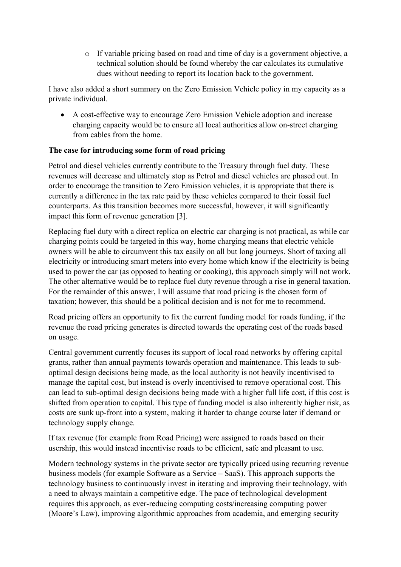o If variable pricing based on road and time of day is a government objective, a technical solution should be found whereby the car calculates its cumulative dues without needing to report its location back to the government.

I have also added a short summary on the Zero Emission Vehicle policy in my capacity as a private individual.

 A cost-effective way to encourage Zero Emission Vehicle adoption and increase charging capacity would be to ensure all local authorities allow on-street charging from cables from the home.

## **The case for introducing some form of road pricing**

Petrol and diesel vehicles currently contribute to the Treasury through fuel duty. These revenues will decrease and ultimately stop as Petrol and diesel vehicles are phased out. In order to encourage the transition to Zero Emission vehicles, it is appropriate that there is currently a difference in the tax rate paid by these vehicles compared to their fossil fuel counterparts. As this transition becomes more successful, however, it will significantly impact this form of revenue generation [3].

Replacing fuel duty with a direct replica on electric car charging is not practical, as while car charging points could be targeted in this way, home charging means that electric vehicle owners will be able to circumvent this tax easily on all but long journeys. Short of taxing all electricity or introducing smart meters into every home which know if the electricity is being used to power the car (as opposed to heating or cooking), this approach simply will not work. The other alternative would be to replace fuel duty revenue through a rise in general taxation. For the remainder of this answer, I will assume that road pricing is the chosen form of taxation; however, this should be a political decision and is not for me to recommend.

Road pricing offers an opportunity to fix the current funding model for roads funding, if the revenue the road pricing generates is directed towards the operating cost of the roads based on usage.

Central government currently focuses its support of local road networks by offering capital grants, rather than annual payments towards operation and maintenance. This leads to suboptimal design decisions being made, as the local authority is not heavily incentivised to manage the capital cost, but instead is overly incentivised to remove operational cost. This can lead to sub-optimal design decisions being made with a higher full life cost, if this cost is shifted from operation to capital. This type of funding model is also inherently higher risk, as costs are sunk up-front into a system, making it harder to change course later if demand or technology supply change.

If tax revenue (for example from Road Pricing) were assigned to roads based on their usership, this would instead incentivise roads to be efficient, safe and pleasant to use.

Modern technology systems in the private sector are typically priced using recurring revenue business models (for example Software as a Service – SaaS). This approach supports the technology business to continuously invest in iterating and improving their technology, with a need to always maintain a competitive edge. The pace of technological development requires this approach, as ever-reducing computing costs/increasing computing power (Moore's Law), improving algorithmic approaches from academia, and emerging security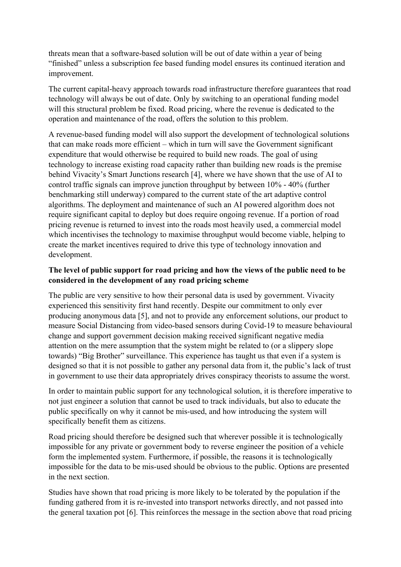threats mean that a software-based solution will be out of date within a year of being "finished" unless a subscription fee based funding model ensures its continued iteration and improvement.

The current capital-heavy approach towards road infrastructure therefore guarantees that road technology will always be out of date. Only by switching to an operational funding model will this structural problem be fixed. Road pricing, where the revenue is dedicated to the operation and maintenance of the road, offers the solution to this problem.

A revenue-based funding model will also support the development of technological solutions that can make roads more efficient – which in turn will save the Government significant expenditure that would otherwise be required to build new roads. The goal of using technology to increase existing road capacity rather than building new roads is the premise behind Vivacity's Smart Junctions research [4], where we have shown that the use of AI to control traffic signals can improve junction throughput by between 10% - 40% (further benchmarking still underway) compared to the current state of the art adaptive control algorithms. The deployment and maintenance of such an AI powered algorithm does not require significant capital to deploy but does require ongoing revenue. If a portion of road pricing revenue is returned to invest into the roads most heavily used, a commercial model which incentivises the technology to maximise throughput would become viable, helping to create the market incentives required to drive this type of technology innovation and development.

# **The level of public support for road pricing and how the views of the public need to be considered in the development of any road pricing scheme**

The public are very sensitive to how their personal data is used by government. Vivacity experienced this sensitivity first hand recently. Despite our commitment to only ever producing anonymous data [5], and not to provide any enforcement solutions, our product to measure Social Distancing from video-based sensors during Covid-19 to measure behavioural change and support government decision making received significant negative media attention on the mere assumption that the system might be related to (or a slippery slope towards) "Big Brother" surveillance. This experience has taught us that even if a system is designed so that it is not possible to gather any personal data from it, the public's lack of trust in government to use their data appropriately drives conspiracy theorists to assume the worst.

In order to maintain public support for any technological solution, it is therefore imperative to not just engineer a solution that cannot be used to track individuals, but also to educate the public specifically on why it cannot be mis-used, and how introducing the system will specifically benefit them as citizens.

Road pricing should therefore be designed such that wherever possible it is technologically impossible for any private or government body to reverse engineer the position of a vehicle form the implemented system. Furthermore, if possible, the reasons it is technologically impossible for the data to be mis-used should be obvious to the public. Options are presented in the next section.

Studies have shown that road pricing is more likely to be tolerated by the population if the funding gathered from it is re-invested into transport networks directly, and not passed into the general taxation pot [6]. This reinforces the message in the section above that road pricing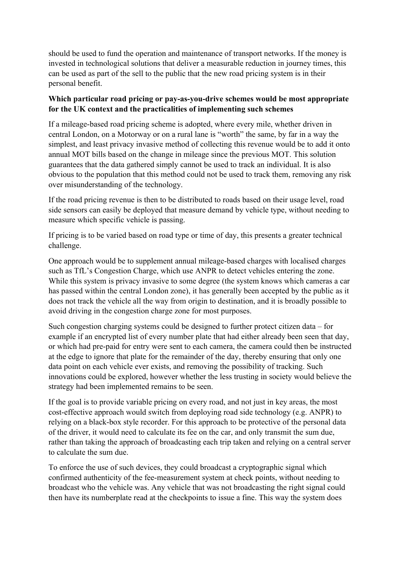should be used to fund the operation and maintenance of transport networks. If the money is invested in technological solutions that deliver a measurable reduction in journey times, this can be used as part of the sell to the public that the new road pricing system is in their personal benefit.

## **Which particular road pricing or pay-as-you-drive schemes would be most appropriate for the UK context and the practicalities of implementing such schemes**

If a mileage-based road pricing scheme is adopted, where every mile, whether driven in central London, on a Motorway or on a rural lane is "worth" the same, by far in a way the simplest, and least privacy invasive method of collecting this revenue would be to add it onto annual MOT bills based on the change in mileage since the previous MOT. This solution guarantees that the data gathered simply cannot be used to track an individual. It is also obvious to the population that this method could not be used to track them, removing any risk over misunderstanding of the technology.

If the road pricing revenue is then to be distributed to roads based on their usage level, road side sensors can easily be deployed that measure demand by vehicle type, without needing to measure which specific vehicle is passing.

If pricing is to be varied based on road type or time of day, this presents a greater technical challenge.

One approach would be to supplement annual mileage-based charges with localised charges such as TfL's Congestion Charge, which use ANPR to detect vehicles entering the zone. While this system is privacy invasive to some degree (the system knows which cameras a car has passed within the central London zone), it has generally been accepted by the public as it does not track the vehicle all the way from origin to destination, and it is broadly possible to avoid driving in the congestion charge zone for most purposes.

Such congestion charging systems could be designed to further protect citizen data – for example if an encrypted list of every number plate that had either already been seen that day, or which had pre-paid for entry were sent to each camera, the camera could then be instructed at the edge to ignore that plate for the remainder of the day, thereby ensuring that only one data point on each vehicle ever exists, and removing the possibility of tracking. Such innovations could be explored, however whether the less trusting in society would believe the strategy had been implemented remains to be seen.

If the goal is to provide variable pricing on every road, and not just in key areas, the most cost-effective approach would switch from deploying road side technology (e.g. ANPR) to relying on a black-box style recorder. For this approach to be protective of the personal data of the driver, it would need to calculate its fee on the car, and only transmit the sum due, rather than taking the approach of broadcasting each trip taken and relying on a central server to calculate the sum due.

To enforce the use of such devices, they could broadcast a cryptographic signal which confirmed authenticity of the fee-measurement system at check points, without needing to broadcast who the vehicle was. Any vehicle that was not broadcasting the right signal could then have its numberplate read at the checkpoints to issue a fine. This way the system does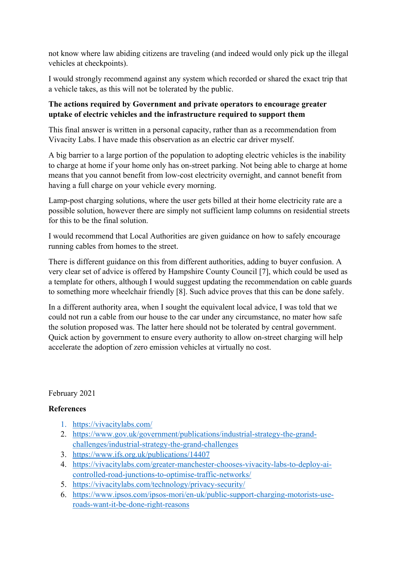not know where law abiding citizens are traveling (and indeed would only pick up the illegal vehicles at checkpoints).

I would strongly recommend against any system which recorded or shared the exact trip that a vehicle takes, as this will not be tolerated by the public.

## **The actions required by Government and private operators to encourage greater uptake of electric vehicles and the infrastructure required to support them**

This final answer is written in a personal capacity, rather than as a recommendation from Vivacity Labs. I have made this observation as an electric car driver myself.

A big barrier to a large portion of the population to adopting electric vehicles is the inability to charge at home if your home only has on-street parking. Not being able to charge at home means that you cannot benefit from low-cost electricity overnight, and cannot benefit from having a full charge on your vehicle every morning.

Lamp-post charging solutions, where the user gets billed at their home electricity rate are a possible solution, however there are simply not sufficient lamp columns on residential streets for this to be the final solution.

I would recommend that Local Authorities are given guidance on how to safely encourage running cables from homes to the street.

There is different guidance on this from different authorities, adding to buyer confusion. A very clear set of advice is offered by Hampshire County Council [7], which could be used as a template for others, although I would suggest updating the recommendation on cable guards to something more wheelchair friendly [8]. Such advice proves that this can be done safely.

In a different authority area, when I sought the equivalent local advice, I was told that we could not run a cable from our house to the car under any circumstance, no mater how safe the solution proposed was. The latter here should not be tolerated by central government. Quick action by government to ensure every authority to allow on-street charging will help accelerate the adoption of zero emission vehicles at virtually no cost.

#### February 2021

#### **References**

- 1. <https://vivacitylabs.com/>
- 2. [https://www.gov.uk/government/publications/industrial-strategy-the-grand](https://www.gov.uk/government/publications/industrial-strategy-the-grand-challenges/industrial-strategy-the-grand-challenges)[challenges/industrial-strategy-the-grand-challenges](https://www.gov.uk/government/publications/industrial-strategy-the-grand-challenges/industrial-strategy-the-grand-challenges)
- 3. <https://www.ifs.org.uk/publications/14407>
- 4. [https://vivacitylabs.com/greater-manchester-chooses-vivacity-labs-to-deploy-ai](https://vivacitylabs.com/greater-manchester-chooses-vivacity-labs-to-deploy-ai-controlled-road-junctions-to-optimise-traffic-networks/)[controlled-road-junctions-to-optimise-traffic-networks/](https://vivacitylabs.com/greater-manchester-chooses-vivacity-labs-to-deploy-ai-controlled-road-junctions-to-optimise-traffic-networks/)
- 5. <https://vivacitylabs.com/technology/privacy-security/>
- 6. [https://www.ipsos.com/ipsos-mori/en-uk/public-support-charging-motorists-use](https://www.ipsos.com/ipsos-mori/en-uk/public-support-charging-motorists-use-roads-want-it-be-done-right-reasons)[roads-want-it-be-done-right-reasons](https://www.ipsos.com/ipsos-mori/en-uk/public-support-charging-motorists-use-roads-want-it-be-done-right-reasons)